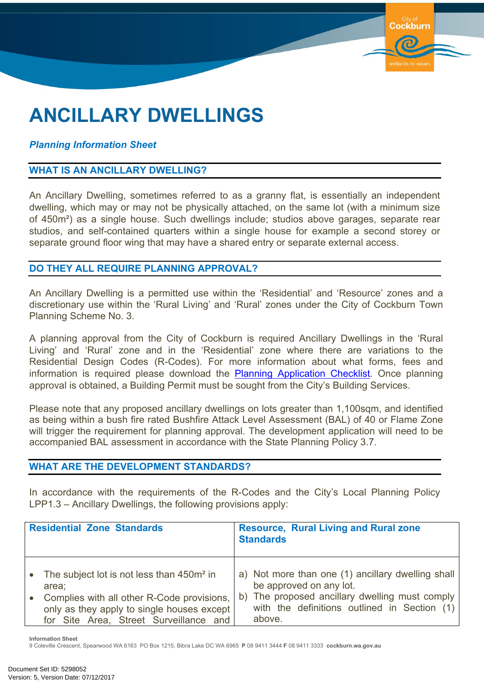# **ANCILLARY DWELLINGS**

## *Planning Information Sheet*

### **WHAT IS AN ANCILLARY DWELLING?**

An Ancillary Dwelling, sometimes referred to as a granny flat, is essentially an independent dwelling, which may or may not be physically attached, on the same lot (with a minimum size of 450m²) as a single house. Such dwellings include; studios above garages, separate rear studios, and self-contained quarters within a single house for example a second storey or separate ground floor wing that may have a shared entry or separate external access.

Cockhurn

#### **DO THEY ALL REQUIRE PLANNING APPROVAL?**

An Ancillary Dwelling is a permitted use within the 'Residential' and 'Resource' zones and a discretionary use within the 'Rural Living' and 'Rural' zones under the City of Cockburn Town Planning Scheme No. 3.

A planning approval from the City of Cockburn is required Ancillary Dwellings in the 'Rural Living' and 'Rural' zone and in the 'Residential' zone where there are variations to the Residential Design Codes (R-Codes). For more information about what forms, fees and information is required please download the Planning [Application](https://www.cockburn.wa.gov.au/Council/Documents-and-Publications/?page=1&tags=doggreen&sortby=) Checklist. Once planning approval is obtained, a Building Permit must be sought from the City's Building Services.

Please note that any proposed ancillary dwellings on lots greater than 1,100sqm, and identified as being within a bush fire rated Bushfire Attack Level Assessment (BAL) of 40 or Flame Zone will trigger the requirement for planning approval. The development application will need to be accompanied BAL assessment in accordance with the State Planning Policy 3.7.

#### **WHAT ARE THE DEVELOPMENT STANDARDS?**

In accordance with the requirements of the R-Codes and the City's Local Planning Policy LPP1.3 – Ancillary Dwellings, the following provisions apply:

| <b>Residential Zone Standards</b> |                                                                                                                                    | <b>Resource, Rural Living and Rural zone</b><br><b>Standards</b> |                                                                                                          |
|-----------------------------------|------------------------------------------------------------------------------------------------------------------------------------|------------------------------------------------------------------|----------------------------------------------------------------------------------------------------------|
|                                   | The subject lot is not less than 450m <sup>2</sup> in<br>area:                                                                     |                                                                  | a) Not more than one (1) ancillary dwelling shall<br>be approved on any lot.                             |
|                                   | Complies with all other R-Code provisions,<br>only as they apply to single houses except<br>for Site Area, Street Surveillance and |                                                                  | b) The proposed ancillary dwelling must comply<br>with the definitions outlined in Section (1)<br>above. |

**Information Sheet**

9 Coleville Crescent, Spearwood WA 6163 PO Box 1215, Bibra Lake DC WA 6965 **P** 08 9411 3444 **F** 08 9411 3333 **cockburn.wa.gov.au**